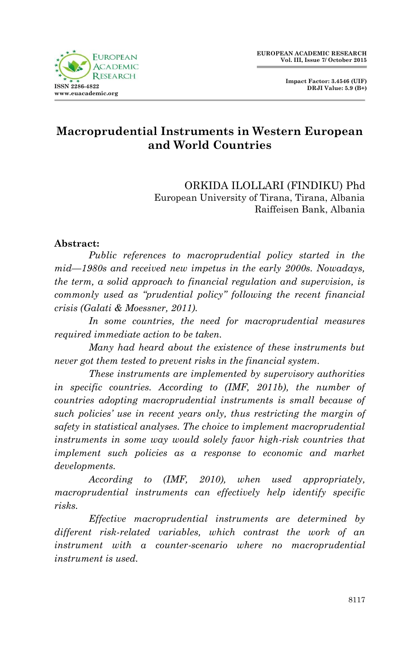

## **Macroprudential Instruments in Western European and World Countries**

ORKIDA ILOLLARI (FINDIKU) Phd European University of Tirana, Tirana, Albania Raiffeisen Bank, Albania

#### **Abstract:**

*Public references to macroprudential policy started in the mid—1980s and received new impetus in the early 2000s. Nowadays, the term, a solid approach to financial regulation and supervision, is commonly used as "prudential policy" following the recent financial crisis (Galati & Moessner, 2011).*

*In some countries, the need for macroprudential measures required immediate action to be taken.*

*Many had heard about the existence of these instruments but never got them tested to prevent risks in the financial system.*

*These instruments are implemented by supervisory authorities in specific countries. According to (IMF, 2011b), the number of countries adopting macroprudential instruments is small because of such policies' use in recent years only, thus restricting the margin of safety in statistical analyses. The choice to implement macroprudential instruments in some way would solely favor high-risk countries that implement such policies as a response to economic and market developments.*

*According to (IMF, 2010), when used appropriately, macroprudential instruments can effectively help identify specific risks.*

*Effective macroprudential instruments are determined by different risk-related variables, which contrast the work of an instrument with a counter-scenario where no macroprudential instrument is used.*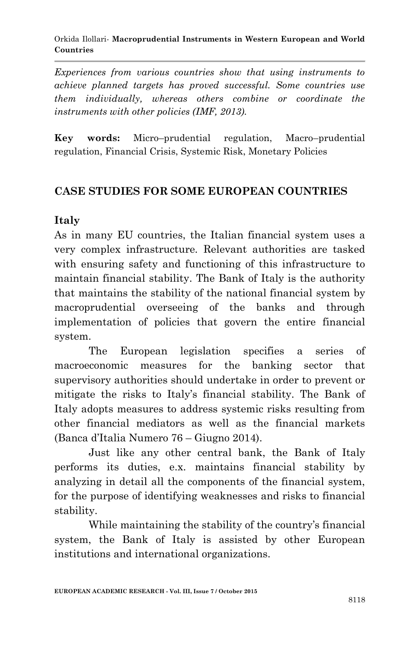*Experiences from various countries show that using instruments to achieve planned targets has proved successful. Some countries use them individually, whereas others combine or coordinate the instruments with other policies (IMF, 2013).* 

**Key words:** Micro–prudential regulation, Macro–prudential regulation, Financial Crisis, Systemic Risk, Monetary Policies

#### **CASE STUDIES FOR SOME EUROPEAN COUNTRIES**

### **Italy**

As in many EU countries, the Italian financial system uses a very complex infrastructure. Relevant authorities are tasked with ensuring safety and functioning of this infrastructure to maintain financial stability. The Bank of Italy is the authority that maintains the stability of the national financial system by macroprudential overseeing of the banks and through implementation of policies that govern the entire financial system.

The European legislation specifies a series of macroeconomic measures for the banking sector that supervisory authorities should undertake in order to prevent or mitigate the risks to Italy"s financial stability. The Bank of Italy adopts measures to address systemic risks resulting from other financial mediators as well as the financial markets (Banca d"Italia Numero 76 – Giugno 2014).

Just like any other central bank, the Bank of Italy performs its duties, e.x. maintains financial stability by analyzing in detail all the components of the financial system, for the purpose of identifying weaknesses and risks to financial stability.

While maintaining the stability of the country's financial system, the Bank of Italy is assisted by other European institutions and international organizations.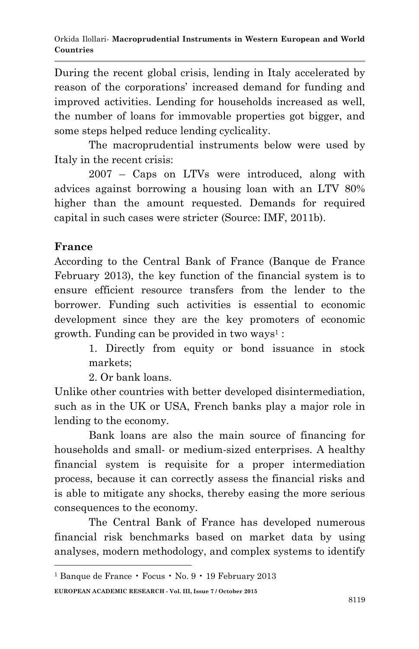During the recent global crisis, lending in Italy accelerated by reason of the corporations" increased demand for funding and improved activities. Lending for households increased as well, the number of loans for immovable properties got bigger, and some steps helped reduce lending cyclicality.

The macroprudential instruments below were used by Italy in the recent crisis:

2007 – Caps on LTVs were introduced, along with advices against borrowing a housing loan with an LTV 80% higher than the amount requested. Demands for required capital in such cases were stricter (Source: IMF, 2011b).

### **France**

**.** 

According to the Central Bank of France (Banque de France February 2013), the key function of the financial system is to ensure efficient resource transfers from the lender to the borrower. Funding such activities is essential to economic development since they are the key promoters of economic growth. Funding can be provided in two ways<sup>1</sup>:

> 1. Directly from equity or bond issuance in stock markets;

2. Or bank loans.

Unlike other countries with better developed disintermediation, such as in the UK or USA, French banks play a major role in lending to the economy.

Bank loans are also the main source of financing for households and small- or medium-sized enterprises. A healthy financial system is requisite for a proper intermediation process, because it can correctly assess the financial risks and is able to mitigate any shocks, thereby easing the more serious consequences to the economy.

The Central Bank of France has developed numerous financial risk benchmarks based on market data by using analyses, modern methodology, and complex systems to identify

<sup>&</sup>lt;sup>1</sup> Banque de France • Focus • No.  $9 \cdot 19$  February 2013

**EUROPEAN ACADEMIC RESEARCH - Vol. III, Issue 7 / October 2015**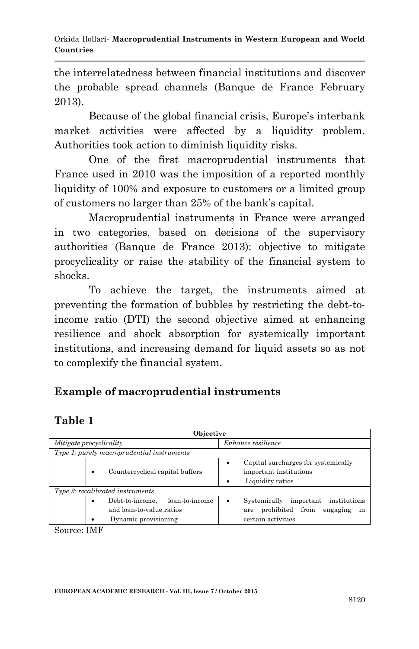the interrelatedness between financial institutions and discover the probable spread channels (Banque de France February 2013).

Because of the global financial crisis, Europe's interbank market activities were affected by a liquidity problem. Authorities took action to diminish liquidity risks.

One of the first macroprudential instruments that France used in 2010 was the imposition of a reported monthly liquidity of 100% and exposure to customers or a limited group of customers no larger than 25% of the bank"s capital.

Macroprudential instruments in France were arranged in two categories, based on decisions of the supervisory authorities (Banque de France 2013): objective to mitigate procyclicality or raise the stability of the financial system to shocks.

To achieve the target, the instruments aimed at preventing the formation of bubbles by restricting the debt-toincome ratio (DTI) the second objective aimed at enhancing resilience and shock absorption for systemically important institutions, and increasing demand for liquid assets so as not to complexify the financial system.

# **Example of macroprudential instruments**

# **Table 1**

| Objective                                  |                                      |                                                                                       |   |                                                                                                             |  |
|--------------------------------------------|--------------------------------------|---------------------------------------------------------------------------------------|---|-------------------------------------------------------------------------------------------------------------|--|
| Mitigate procyclicality                    |                                      |                                                                                       |   | Enhance resilience                                                                                          |  |
| Type 1: purely macroprudential instruments |                                      |                                                                                       |   |                                                                                                             |  |
|                                            | Countercyclical capital buffers<br>٠ |                                                                                       | ٠ | Capital surcharges for systemically<br>important institutions<br>Liquidity ratios                           |  |
| Type 2: recalibrated instruments           |                                      |                                                                                       |   |                                                                                                             |  |
|                                            | ٠                                    | loan-to-income<br>Debt-to-income.<br>and loan-to-value ratios<br>Dynamic provisioning | ٠ | Systemically<br>institutions<br>important<br>prohibited from<br>engaging<br>are<br>in<br>certain activities |  |

Source: IMF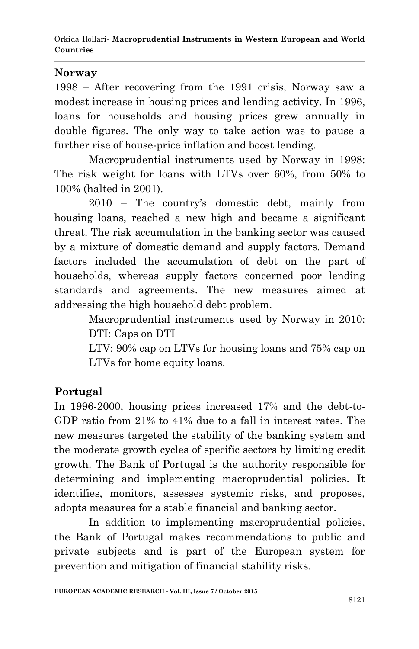#### **Norway**

1998 – After recovering from the 1991 crisis, Norway saw a modest increase in housing prices and lending activity. In 1996, loans for households and housing prices grew annually in double figures. The only way to take action was to pause a further rise of house-price inflation and boost lending.

Macroprudential instruments used by Norway in 1998: The risk weight for loans with LTVs over 60%, from 50% to 100% (halted in 2001).

2010 – The country"s domestic debt, mainly from housing loans, reached a new high and became a significant threat. The risk accumulation in the banking sector was caused by a mixture of domestic demand and supply factors. Demand factors included the accumulation of debt on the part of households, whereas supply factors concerned poor lending standards and agreements. The new measures aimed at addressing the high household debt problem.

> Macroprudential instruments used by Norway in 2010: DTI: Caps on DTI

> LTV: 90% cap on LTVs for housing loans and 75% cap on LTVs for home equity loans.

### **Portugal**

In 1996-2000, housing prices increased 17% and the debt-to-GDP ratio from 21% to 41% due to a fall in interest rates. The new measures targeted the stability of the banking system and the moderate growth cycles of specific sectors by limiting credit growth. The Bank of Portugal is the authority responsible for determining and implementing macroprudential policies. It identifies, monitors, assesses systemic risks, and proposes, adopts measures for a stable financial and banking sector.

In addition to implementing macroprudential policies, the Bank of Portugal makes recommendations to public and private subjects and is part of the European system for prevention and mitigation of financial stability risks.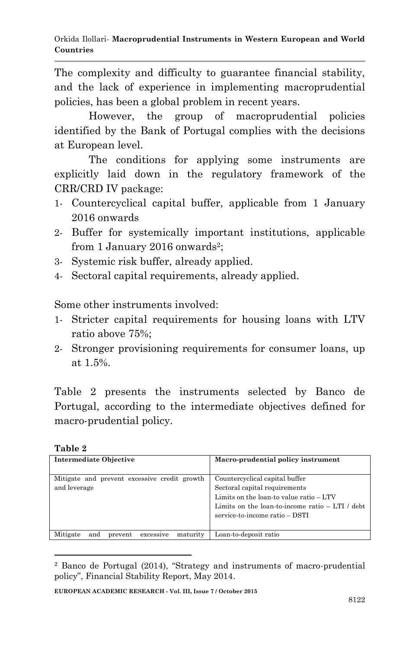The complexity and difficulty to guarantee financial stability, and the lack of experience in implementing macroprudential policies, has been a global problem in recent years.

However, the group of macroprudential policies identified by the Bank of Portugal complies with the decisions at European level.

The conditions for applying some instruments are explicitly laid down in the regulatory framework of the CRR/CRD IV package:

- 1- Countercyclical capital buffer, applicable from 1 January 2016 onwards
- 2- Buffer for systemically important institutions, applicable from 1 January 2016 onwards<sup>2</sup>;
- 3- Systemic risk buffer, already applied.
- 4- Sectoral capital requirements, already applied.

Some other instruments involved:

- 1- Stricter capital requirements for housing loans with LTV ratio above 75%;
- 2- Stronger provisioning requirements for consumer loans, up at 1.5%.

Table 2 presents the instruments selected by Banco de Portugal, according to the intermediate objectives defined for macro-prudential policy.

**Table 2**

1

| <b>Intermediate Objective</b>                                | Macro-prudential policy instrument                                                                                                                                                              |  |
|--------------------------------------------------------------|-------------------------------------------------------------------------------------------------------------------------------------------------------------------------------------------------|--|
| Mitigate and prevent excessive credit growth<br>and leverage | Countercyclical capital buffer<br>Sectoral capital requirements<br>Limits on the loan-to value ratio - LTV<br>Limits on the loan-to-income ratio - LTI / debt<br>service-to-income ratio - DSTI |  |
| Mitigate<br>maturity<br>and<br>excessive<br>prevent          | Loan-to-deposit ratio                                                                                                                                                                           |  |

<sup>2</sup> Banco de Portugal (2014), "Strategy and instruments of macro-prudential policy", Financial Stability Report, May 2014.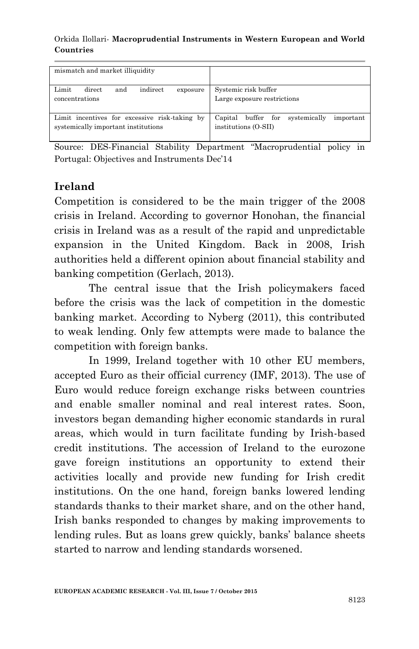#### Orkida Ilollari*-* **Macroprudential Instruments in Western European and World Countries**

| mismatch and market illiquidity                                                      |                                                                                    |
|--------------------------------------------------------------------------------------|------------------------------------------------------------------------------------|
| indirect<br>Limit<br>direct<br>and<br>exposure                                       | Systemic risk buffer                                                               |
| concentrations                                                                       | Large exposure restrictions                                                        |
| Limit incentives for excessive risk-taking by<br>systemically important institutions | $-$ for $-$<br>Capital buffer<br>systemically<br>important<br>institutions (O-SII) |

Source: DES-Financial Stability Department "Macroprudential policy in Portugal: Objectives and Instruments Dec"14

### **Ireland**

Competition is considered to be the main trigger of the 2008 crisis in Ireland. According to governor Honohan, the financial crisis in Ireland was as a result of the rapid and unpredictable expansion in the United Kingdom. Back in 2008, Irish authorities held a different opinion about financial stability and banking competition (Gerlach, 2013).

The central issue that the Irish policymakers faced before the crisis was the lack of competition in the domestic banking market. According to Nyberg (2011), this contributed to weak lending. Only few attempts were made to balance the competition with foreign banks.

In 1999, Ireland together with 10 other EU members, accepted Euro as their official currency (IMF, 2013). The use of Euro would reduce foreign exchange risks between countries and enable smaller nominal and real interest rates. Soon, investors began demanding higher economic standards in rural areas, which would in turn facilitate funding by Irish-based credit institutions. The accession of Ireland to the eurozone gave foreign institutions an opportunity to extend their activities locally and provide new funding for Irish credit institutions. On the one hand, foreign banks lowered lending standards thanks to their market share, and on the other hand, Irish banks responded to changes by making improvements to lending rules. But as loans grew quickly, banks' balance sheets started to narrow and lending standards worsened.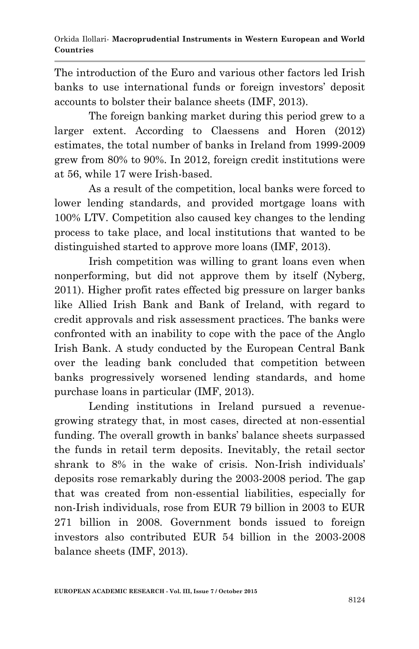The introduction of the Euro and various other factors led Irish banks to use international funds or foreign investors' deposit accounts to bolster their balance sheets (IMF, 2013).

The foreign banking market during this period grew to a larger extent. According to Claessens and Horen (2012) estimates, the total number of banks in Ireland from 1999-2009 grew from 80% to 90%. In 2012, foreign credit institutions were at 56, while 17 were Irish-based.

As a result of the competition, local banks were forced to lower lending standards, and provided mortgage loans with 100% LTV. Competition also caused key changes to the lending process to take place, and local institutions that wanted to be distinguished started to approve more loans (IMF, 2013).

Irish competition was willing to grant loans even when nonperforming, but did not approve them by itself (Nyberg, 2011). Higher profit rates effected big pressure on larger banks like Allied Irish Bank and Bank of Ireland, with regard to credit approvals and risk assessment practices. The banks were confronted with an inability to cope with the pace of the Anglo Irish Bank. A study conducted by the European Central Bank over the leading bank concluded that competition between banks progressively worsened lending standards, and home purchase loans in particular (IMF, 2013).

Lending institutions in Ireland pursued a revenuegrowing strategy that, in most cases, directed at non-essential funding. The overall growth in banks" balance sheets surpassed the funds in retail term deposits. Inevitably, the retail sector shrank to 8% in the wake of crisis. Non-Irish individuals' deposits rose remarkably during the 2003-2008 period. The gap that was created from non-essential liabilities, especially for non-Irish individuals, rose from EUR 79 billion in 2003 to EUR 271 billion in 2008. Government bonds issued to foreign investors also contributed EUR 54 billion in the 2003-2008 balance sheets (IMF, 2013).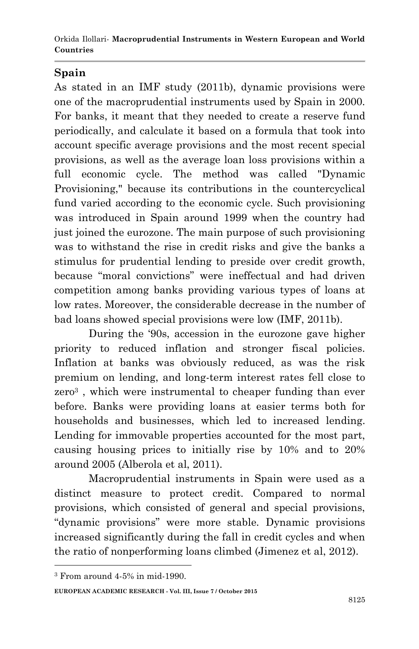# **Spain**

As stated in an IMF study (2011b), dynamic provisions were one of the macroprudential instruments used by Spain in 2000. For banks, it meant that they needed to create a reserve fund periodically, and calculate it based on a formula that took into account specific average provisions and the most recent special provisions, as well as the average loan loss provisions within a full economic cycle. The method was called "Dynamic Provisioning," because its contributions in the countercyclical fund varied according to the economic cycle. Such provisioning was introduced in Spain around 1999 when the country had just joined the eurozone. The main purpose of such provisioning was to withstand the rise in credit risks and give the banks a stimulus for prudential lending to preside over credit growth, because "moral convictions" were ineffectual and had driven competition among banks providing various types of loans at low rates. Moreover, the considerable decrease in the number of bad loans showed special provisions were low (IMF, 2011b).

During the "90s, accession in the eurozone gave higher priority to reduced inflation and stronger fiscal policies. Inflation at banks was obviously reduced, as was the risk premium on lending, and long-term interest rates fell close to zero<sup>3</sup>, which were instrumental to cheaper funding than ever before. Banks were providing loans at easier terms both for households and businesses, which led to increased lending. Lending for immovable properties accounted for the most part, causing housing prices to initially rise by 10% and to 20% around 2005 (Alberola et al, 2011).

Macroprudential instruments in Spain were used as a distinct measure to protect credit. Compared to normal provisions, which consisted of general and special provisions, "dynamic provisions" were more stable. Dynamic provisions increased significantly during the fall in credit cycles and when the ratio of nonperforming loans climbed (Jimenez et al, 2012).

**.** 

**EUROPEAN ACADEMIC RESEARCH - Vol. III, Issue 7 / October 2015**

<sup>3</sup> From around 4-5% in mid-1990.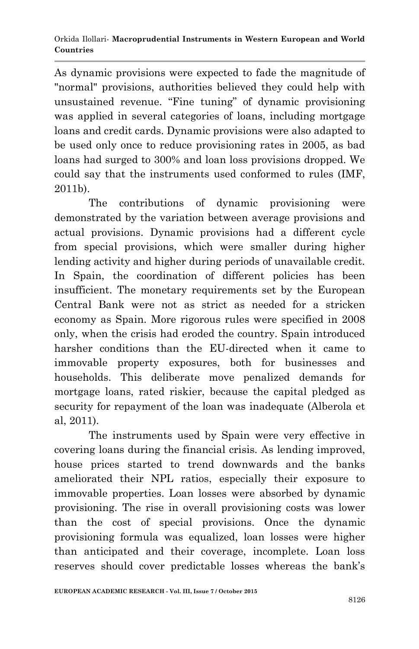As dynamic provisions were expected to fade the magnitude of "normal" provisions, authorities believed they could help with unsustained revenue. "Fine tuning" of dynamic provisioning was applied in several categories of loans, including mortgage loans and credit cards. Dynamic provisions were also adapted to be used only once to reduce provisioning rates in 2005, as bad loans had surged to 300% and loan loss provisions dropped. We could say that the instruments used conformed to rules (IMF, 2011b).

The contributions of dynamic provisioning were demonstrated by the variation between average provisions and actual provisions. Dynamic provisions had a different cycle from special provisions, which were smaller during higher lending activity and higher during periods of unavailable credit. In Spain, the coordination of different policies has been insufficient. The monetary requirements set by the European Central Bank were not as strict as needed for a stricken economy as Spain. More rigorous rules were specified in 2008 only, when the crisis had eroded the country. Spain introduced harsher conditions than the EU-directed when it came to immovable property exposures, both for businesses and households. This deliberate move penalized demands for mortgage loans, rated riskier, because the capital pledged as security for repayment of the loan was inadequate (Alberola et al, 2011).

The instruments used by Spain were very effective in covering loans during the financial crisis. As lending improved, house prices started to trend downwards and the banks ameliorated their NPL ratios, especially their exposure to immovable properties. Loan losses were absorbed by dynamic provisioning. The rise in overall provisioning costs was lower than the cost of special provisions. Once the dynamic provisioning formula was equalized, loan losses were higher than anticipated and their coverage, incomplete. Loan loss reserves should cover predictable losses whereas the bank"s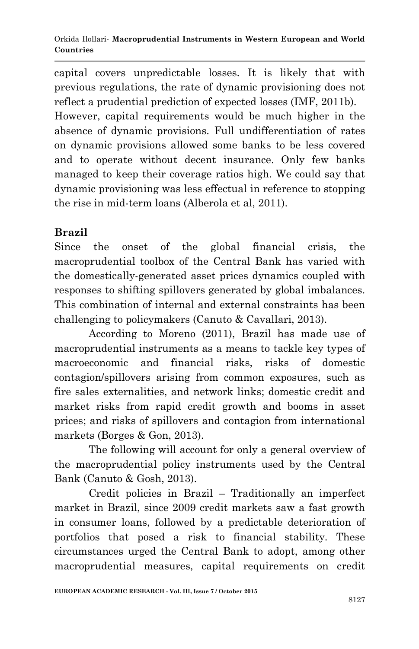capital covers unpredictable losses. It is likely that with previous regulations, the rate of dynamic provisioning does not reflect a prudential prediction of expected losses (IMF, 2011b).

However, capital requirements would be much higher in the absence of dynamic provisions. Full undifferentiation of rates on dynamic provisions allowed some banks to be less covered and to operate without decent insurance. Only few banks managed to keep their coverage ratios high. We could say that dynamic provisioning was less effectual in reference to stopping the rise in mid-term loans (Alberola et al, 2011).

# **Brazil**

Since the onset of the global financial crisis, the macroprudential toolbox of the Central Bank has varied with the domestically-generated asset prices dynamics coupled with responses to shifting spillovers generated by global imbalances. This combination of internal and external constraints has been challenging to policymakers (Canuto & Cavallari, 2013).

According to Moreno (2011), Brazil has made use of macroprudential instruments as a means to tackle key types of macroeconomic and financial risks, risks of domestic contagion/spillovers arising from common exposures, such as fire sales externalities, and network links; domestic credit and market risks from rapid credit growth and booms in asset prices; and risks of spillovers and contagion from international markets (Borges & Gon, 2013).

The following will account for only a general overview of the macroprudential policy instruments used by the Central Bank (Canuto & Gosh, 2013).

Credit policies in Brazil – Traditionally an imperfect market in Brazil, since 2009 credit markets saw a fast growth in consumer loans, followed by a predictable deterioration of portfolios that posed a risk to financial stability. These circumstances urged the Central Bank to adopt, among other macroprudential measures, capital requirements on credit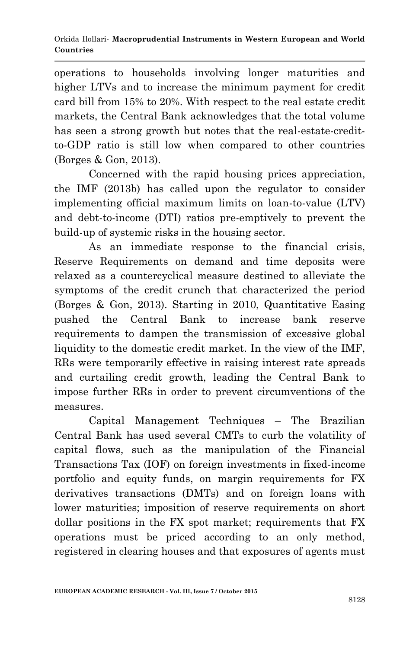operations to households involving longer maturities and higher LTVs and to increase the minimum payment for credit card bill from 15% to 20%. With respect to the real estate credit markets, the Central Bank acknowledges that the total volume has seen a strong growth but notes that the real-estate-creditto-GDP ratio is still low when compared to other countries (Borges & Gon, 2013).

Concerned with the rapid housing prices appreciation, the IMF (2013b) has called upon the regulator to consider implementing official maximum limits on loan-to-value (LTV) and debt-to-income (DTI) ratios pre-emptively to prevent the build-up of systemic risks in the housing sector.

As an immediate response to the financial crisis, Reserve Requirements on demand and time deposits were relaxed as a countercyclical measure destined to alleviate the symptoms of the credit crunch that characterized the period (Borges & Gon, 2013). Starting in 2010, Quantitative Easing pushed the Central Bank to increase bank reserve requirements to dampen the transmission of excessive global liquidity to the domestic credit market. In the view of the IMF, RRs were temporarily effective in raising interest rate spreads and curtailing credit growth, leading the Central Bank to impose further RRs in order to prevent circumventions of the measures.

Capital Management Techniques – The Brazilian Central Bank has used several CMTs to curb the volatility of capital flows, such as the manipulation of the Financial Transactions Tax (IOF) on foreign investments in fixed-income portfolio and equity funds, on margin requirements for FX derivatives transactions (DMTs) and on foreign loans with lower maturities; imposition of reserve requirements on short dollar positions in the FX spot market; requirements that FX operations must be priced according to an only method, registered in clearing houses and that exposures of agents must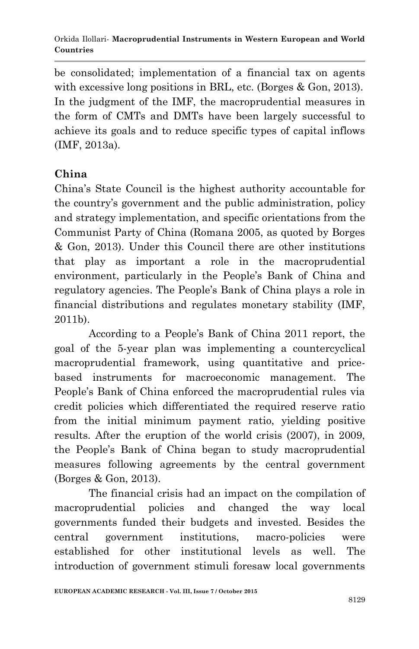be consolidated; implementation of a financial tax on agents with excessive long positions in BRL, etc. (Borges & Gon, 2013). In the judgment of the IMF, the macroprudential measures in the form of CMTs and DMTs have been largely successful to achieve its goals and to reduce specific types of capital inflows (IMF, 2013a).

# **China**

China"s State Council is the highest authority accountable for the country"s government and the public administration, policy and strategy implementation, and specific orientations from the Communist Party of China (Romana 2005, as quoted by Borges & Gon, 2013). Under this Council there are other institutions that play as important a role in the macroprudential environment, particularly in the People"s Bank of China and regulatory agencies. The People"s Bank of China plays a role in financial distributions and regulates monetary stability (IMF, 2011b).

According to a People"s Bank of China 2011 report, the goal of the 5-year plan was implementing a countercyclical macroprudential framework, using quantitative and pricebased instruments for macroeconomic management. The People's Bank of China enforced the macroprudential rules via credit policies which differentiated the required reserve ratio from the initial minimum payment ratio, yielding positive results. After the eruption of the world crisis (2007), in 2009, the People"s Bank of China began to study macroprudential measures following agreements by the central government (Borges & Gon, 2013).

The financial crisis had an impact on the compilation of macroprudential policies and changed the way local governments funded their budgets and invested. Besides the central government institutions, macro-policies were established for other institutional levels as well. The introduction of government stimuli foresaw local governments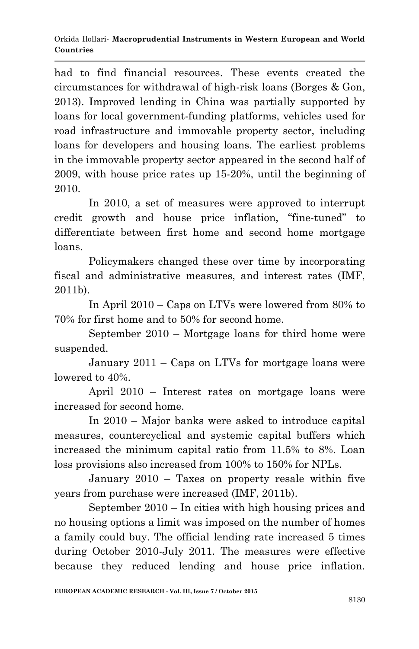had to find financial resources. These events created the circumstances for withdrawal of high-risk loans (Borges & Gon, 2013). Improved lending in China was partially supported by loans for local government-funding platforms, vehicles used for road infrastructure and immovable property sector, including loans for developers and housing loans. The earliest problems in the immovable property sector appeared in the second half of 2009, with house price rates up 15-20%, until the beginning of 2010.

In 2010, a set of measures were approved to interrupt credit growth and house price inflation, "fine-tuned" to differentiate between first home and second home mortgage loans.

Policymakers changed these over time by incorporating fiscal and administrative measures, and interest rates (IMF, 2011b).

In April 2010 – Caps on LTVs were lowered from 80% to 70% for first home and to 50% for second home.

September 2010 – Mortgage loans for third home were suspended.

January 2011 – Caps on LTVs for mortgage loans were lowered to 40%.

April 2010 – Interest rates on mortgage loans were increased for second home.

In 2010 – Major banks were asked to introduce capital measures, countercyclical and systemic capital buffers which increased the minimum capital ratio from 11.5% to 8%. Loan loss provisions also increased from 100% to 150% for NPLs.

January 2010 – Taxes on property resale within five years from purchase were increased (IMF, 2011b).

September 2010 – In cities with high housing prices and no housing options a limit was imposed on the number of homes a family could buy. The official lending rate increased 5 times during October 2010-July 2011. The measures were effective because they reduced lending and house price inflation.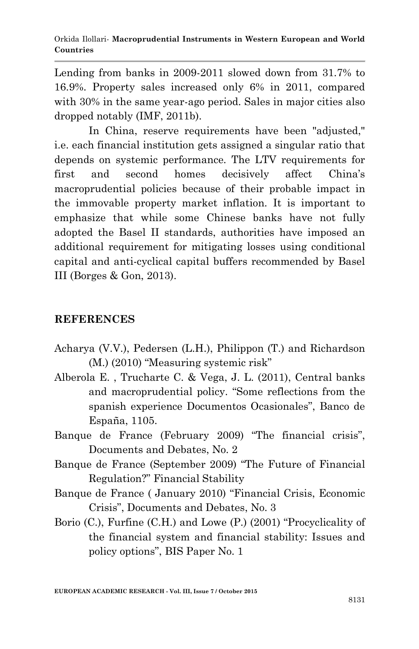Lending from banks in 2009-2011 slowed down from 31.7% to 16.9%. Property sales increased only 6% in 2011, compared with 30% in the same year-ago period. Sales in major cities also dropped notably (IMF, 2011b).

In China, reserve requirements have been "adjusted," i.e. each financial institution gets assigned a singular ratio that depends on systemic performance. The LTV requirements for first and second homes decisively affect China"s macroprudential policies because of their probable impact in the immovable property market inflation. It is important to emphasize that while some Chinese banks have not fully adopted the Basel II standards, authorities have imposed an additional requirement for mitigating losses using conditional capital and anti-cyclical capital buffers recommended by Basel III (Borges & Gon, 2013).

#### **REFERENCES**

- Acharya (V.V.), Pedersen (L.H.), Philippon (T.) and Richardson (M.) (2010) "Measuring systemic risk"
- Alberola E. , Trucharte C. & Vega, J. L. (2011), Central banks and macroprudential policy. "Some reflections from the spanish experience Documentos Ocasionales", Banco de España, 1105.
- Banque de France (February 2009) "The financial crisis", Documents and Debates, No. 2
- Banque de France (September 2009) "The Future of Financial Regulation?" Financial Stability
- Banque de France ( January 2010) "Financial Crisis, Economic Crisis", Documents and Debates, No. 3
- Borio (C.), Furfine (C.H.) and Lowe (P.) (2001) "Procyclicality of the financial system and financial stability: Issues and policy options", BIS Paper No. 1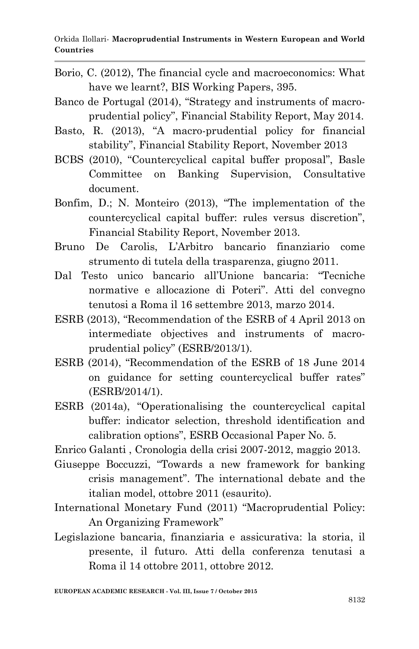- Borio, C. (2012), The financial cycle and macroeconomics: What have we learnt?, BIS Working Papers, 395.
- Banco de Portugal (2014), "Strategy and instruments of macroprudential policy", Financial Stability Report, May 2014.
- Basto, R. (2013), "A macro-prudential policy for financial stability", Financial Stability Report, November 2013
- BCBS (2010), "Countercyclical capital buffer proposal", Basle Committee on Banking Supervision, Consultative document.
- Bonfim, D.; N. Monteiro (2013), "The implementation of the countercyclical capital buffer: rules versus discretion", Financial Stability Report, November 2013.
- Bruno De Carolis, L"Arbitro bancario finanziario come strumento di tutela della trasparenza, giugno 2011.
- Dal Testo unico bancario all"Unione bancaria: "Tecniche normative e allocazione di Poteri". Atti del convegno tenutosi a Roma il 16 settembre 2013, marzo 2014.
- ESRB (2013), "Recommendation of the ESRB of 4 April 2013 on intermediate objectives and instruments of macroprudential policy" (ESRB/2013/1).
- ESRB (2014), "Recommendation of the ESRB of 18 June 2014 on guidance for setting countercyclical buffer rates" (ESRB/2014/1).
- ESRB (2014a), "Operationalising the countercyclical capital buffer: indicator selection, threshold identification and calibration options", ESRB Occasional Paper No. 5.

Enrico Galanti , Cronologia della crisi 2007-2012, maggio 2013.

- Giuseppe Boccuzzi, "Towards a new framework for banking crisis management". The international debate and the italian model, ottobre 2011 (esaurito).
- International Monetary Fund (2011) "Macroprudential Policy: An Organizing Framework"
- Legislazione bancaria, finanziaria e assicurativa: la storia, il presente, il futuro. Atti della conferenza tenutasi a Roma il 14 ottobre 2011, ottobre 2012.